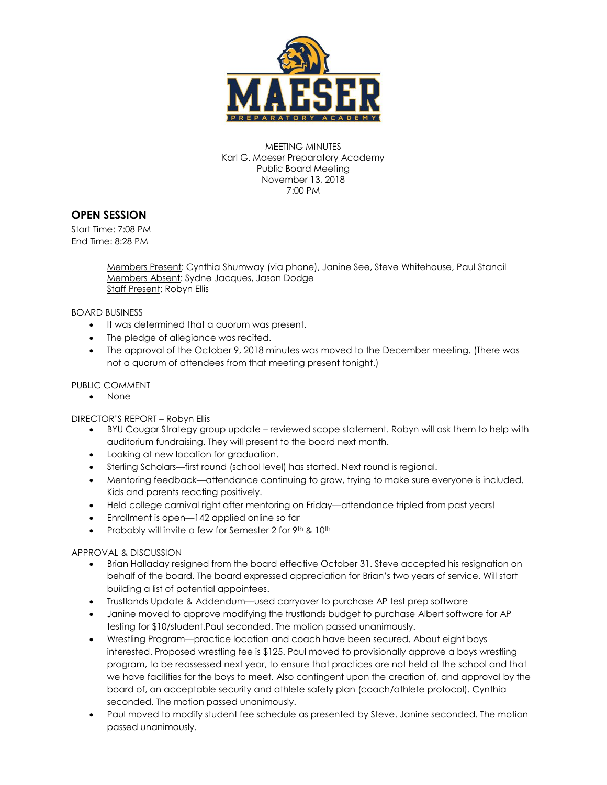

MEETING MINUTES Karl G. Maeser Preparatory Academy Public Board Meeting November 13, 2018 7:00 PM

# **OPEN SESSION**

Start Time: 7:08 PM End Time: 8:28 PM

> Members Present: Cynthia Shumway (via phone), Janine See, Steve Whitehouse, Paul Stancil Members Absent: Sydne Jacques, Jason Dodge Staff Present: Robyn Ellis

BOARD BUSINESS

- $\bullet$  It was determined that a quorum was present.
- The pledge of allegiance was recited.
- The approval of the October 9, 2018 minutes was moved to the December meeting. (There was not a quorum of attendees from that meeting present tonight.)

### PUBLIC COMMENT

None

DIRECTOR'S REPORT – Robyn Ellis

- BYU Cougar Strategy group update reviewed scope statement. Robyn will ask them to help with auditorium fundraising. They will present to the board next month.
- Looking at new location for graduation.
- Sterling Scholars—first round (school level) has started. Next round is regional.
- Mentoring feedback—attendance continuing to grow, trying to make sure everyone is included. Kids and parents reacting positively.
- Held college carnival right after mentoring on Friday—attendance tripled from past years!
- Enrollment is open—142 applied online so far
- Probably will invite a few for Semester 2 for 9th & 10th

#### APPROVAL & DISCUSSION

- Brian Halladay resigned from the board effective October 31. Steve accepted his resignation on behalf of the board. The board expressed appreciation for Brian's two years of service. Will start building a list of potential appointees.
- Trustlands Update & Addendum—used carryover to purchase AP test prep software
- Janine moved to approve modifying the trustlands budget to purchase Albert software for AP testing for \$10/student.Paul seconded. The motion passed unanimously.
- Wrestling Program—practice location and coach have been secured. About eight boys interested. Proposed wrestling fee is \$125. Paul moved to provisionally approve a boys wrestling program, to be reassessed next year, to ensure that practices are not held at the school and that we have facilities for the boys to meet. Also contingent upon the creation of, and approval by the board of, an acceptable security and athlete safety plan (coach/athlete protocol). Cynthia seconded. The motion passed unanimously.
- Paul moved to modify student fee schedule as presented by Steve. Janine seconded. The motion passed unanimously.